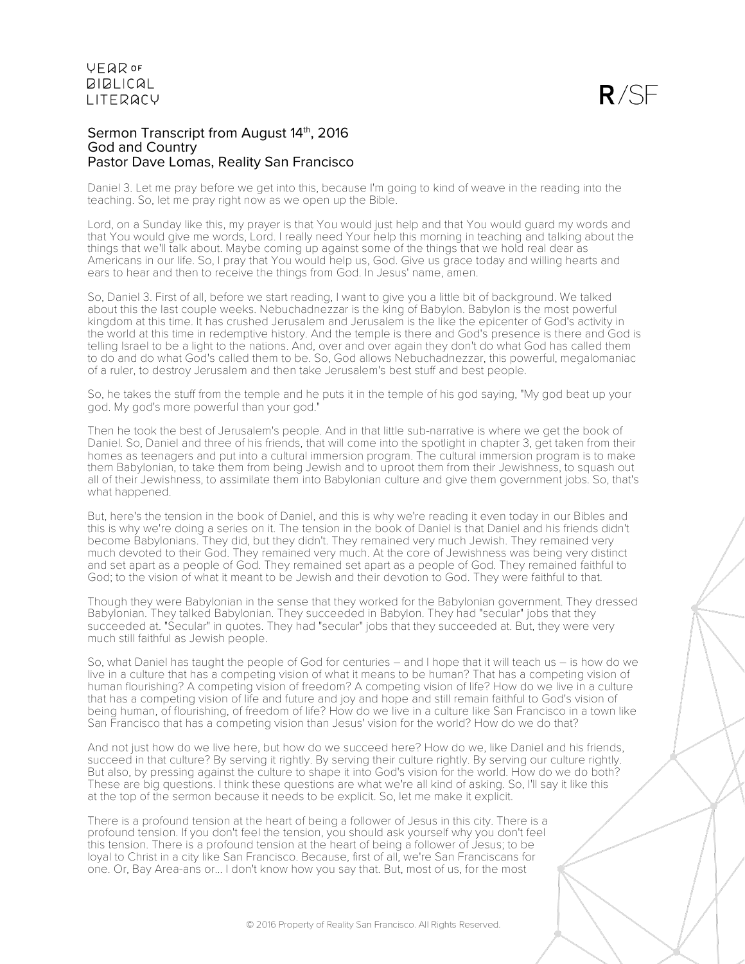

### Sermon Transcript from August 14th, 2016 God and Country Pastor Dave Lomas, Reality San Francisco

Daniel 3. Let me pray before we get into this, because I'm going to kind of weave in the reading into the teaching. So, let me pray right now as we open up the Bible.

Lord, on a Sunday like this, my prayer is that You would just help and that You would guard my words and that You would give me words, Lord. I really need Your help this morning in teaching and talking about the things that we'll talk about. Maybe coming up against some of the things that we hold real dear as Americans in our life. So, I pray that You would help us, God. Give us grace today and willing hearts and ears to hear and then to receive the things from God. In Jesus' name, amen.

So, Daniel 3. First of all, before we start reading, I want to give you a little bit of background. We talked about this the last couple weeks. Nebuchadnezzar is the king of Babylon. Babylon is the most powerful kingdom at this time. It has crushed Jerusalem and Jerusalem is the like the epicenter of God's activity in the world at this time in redemptive history. And the temple is there and God's presence is there and God is telling Israel to be a light to the nations. And, over and over again they don't do what God has called them to do and do what God's called them to be. So, God allows Nebuchadnezzar, this powerful, megalomaniac of a ruler, to destroy Jerusalem and then take Jerusalem's best stuff and best people.

So, he takes the stuff from the temple and he puts it in the temple of his god saying, "My god beat up your god. My god's more powerful than your god."

Then he took the best of Jerusalem's people. And in that little sub-narrative is where we get the book of Daniel. So, Daniel and three of his friends, that will come into the spotlight in chapter 3, get taken from their homes as teenagers and put into a cultural immersion program. The cultural immersion program is to make them Babylonian, to take them from being Jewish and to uproot them from their Jewishness, to squash out all of their Jewishness, to assimilate them into Babylonian culture and give them government jobs. So, that's what happened.

But, here's the tension in the book of Daniel, and this is why we're reading it even today in our Bibles and this is why we're doing a series on it. The tension in the book of Daniel is that Daniel and his friends didn't become Babylonians. They did, but they didn't. They remained very much Jewish. They remained very much devoted to their God. They remained very much. At the core of Jewishness was being very distinct and set apart as a people of God. They remained set apart as a people of God. They remained faithful to God; to the vision of what it meant to be Jewish and their devotion to God. They were faithful to that.

Though they were Babylonian in the sense that they worked for the Babylonian government. They dressed Babylonian. They talked Babylonian. They succeeded in Babylon. They had "secular" jobs that they succeeded at. "Secular" in quotes. They had "secular" jobs that they succeeded at. But, they were very much still faithful as Jewish people.

So, what Daniel has taught the people of God for centuries – and I hope that it will teach us – is how do we live in a culture that has a competing vision of what it means to be human? That has a competing vision of human flourishing? A competing vision of freedom? A competing vision of life? How do we live in a culture that has a competing vision of life and future and joy and hope and still remain faithful to God's vision of being human, of flourishing, of freedom of life? How do we live in a culture like San Francisco in a town like San Francisco that has a competing vision than Jesus' vision for the world? How do we do that?

And not just how do we live here, but how do we succeed here? How do we, like Daniel and his friends, succeed in that culture? By serving it rightly. By serving their culture rightly. By serving our culture rightly. But also, by pressing against the culture to shape it into God's vision for the world. How do we do both? These are big questions. I think these questions are what we're all kind of asking. So, I'll say it like this at the top of the sermon because it needs to be explicit. So, let me make it explicit.

There is a profound tension at the heart of being a follower of Jesus in this city. There is a profound tension. If you don't feel the tension, you should ask yourself why you don't feel this tension. There is a profound tension at the heart of being a follower of Jesus; to be loyal to Christ in a city like San Francisco. Because, first of all, we're San Franciscans for one. Or, Bay Area-ans or... I don't know how you say that. But, most of us, for the most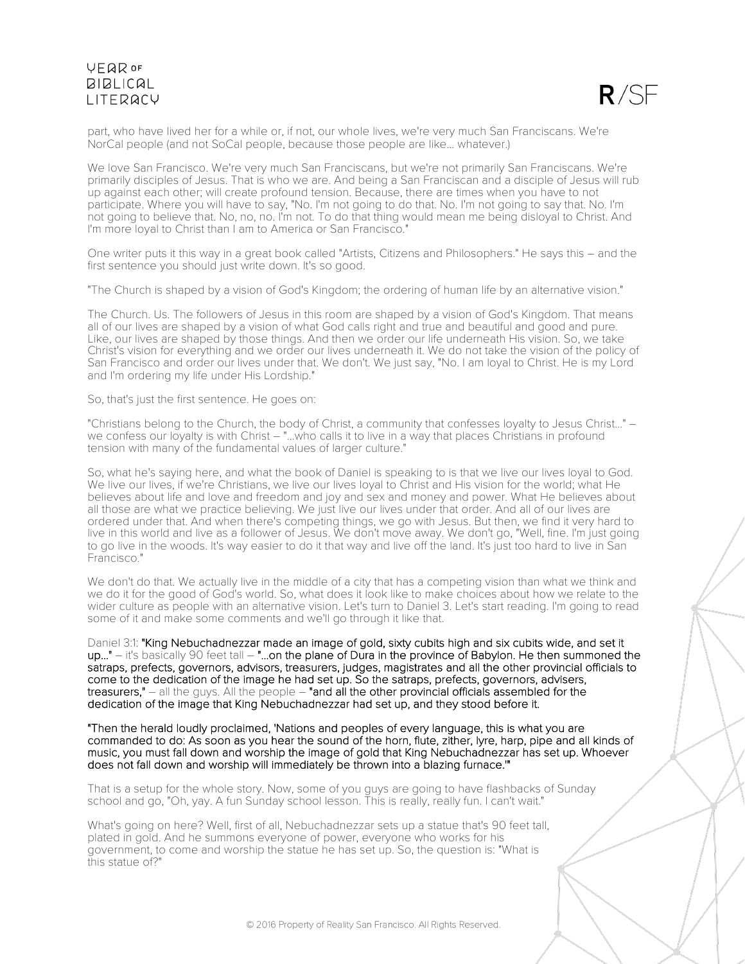

part, who have lived her for a while or, if not, our whole lives, we're very much San Franciscans. We're NorCal people (and not SoCal people, because those people are like... whatever.)

We love San Francisco. We're very much San Franciscans, but we're not primarily San Franciscans. We're primarily disciples of Jesus. That is who we are. And being a San Franciscan and a disciple of Jesus will rub up against each other; will create profound tension. Because, there are times when you have to not participate. Where you will have to say, "No. I'm not going to do that. No. I'm not going to say that. No. I'm not going to believe that. No, no, no. I'm not. To do that thing would mean me being disloyal to Christ. And I'm more loyal to Christ than I am to America or San Francisco."

One writer puts it this way in a great book called "Artists, Citizens and Philosophers." He says this – and the first sentence you should just write down. It's so good.

"The Church is shaped by a vision of God's Kingdom; the ordering of human life by an alternative vision."

The Church. Us. The followers of Jesus in this room are shaped by a vision of God's Kingdom. That means all of our lives are shaped by a vision of what God calls right and true and beautiful and good and pure. Like, our lives are shaped by those things. And then we order our life underneath His vision. So, we take Christ's vision for everything and we order our lives underneath it. We do not take the vision of the policy of San Francisco and order our lives under that. We don't. We just say, "No. I am loyal to Christ. He is my Lord and I'm ordering my life under His Lordship."

So, that's just the first sentence. He goes on:

"Christians belong to the Church, the body of Christ, a community that confesses loyalty to Jesus Christ..." – we confess our loyalty is with Christ – "...who calls it to live in a way that places Christians in profound tension with many of the fundamental values of larger culture."

So, what he's saying here, and what the book of Daniel is speaking to is that we live our lives loyal to God. We live our lives, if we're Christians, we live our lives loyal to Christ and His vision for the world; what He believes about life and love and freedom and joy and sex and money and power. What He believes about all those are what we practice believing. We just live our lives under that order. And all of our lives are ordered under that. And when there's competing things, we go with Jesus. But then, we find it very hard to live in this world and live as a follower of Jesus. We don't move away. We don't go, "Well, fine. I'm just going to go live in the woods. It's way easier to do it that way and live off the land. It's just too hard to live in San Francisco."

We don't do that. We actually live in the middle of a city that has a competing vision than what we think and we do it for the good of God's world. So, what does it look like to make choices about how we relate to the wider culture as people with an alternative vision. Let's turn to Daniel 3. Let's start reading. I'm going to read some of it and make some comments and we'll go through it like that.

Daniel 3:1: "King Nebuchadnezzar made an image of gold, sixty cubits high and six cubits wide, and set it up..." – it's basically 90 feet tall – "...on the plane of Dura in the province of Babylon. He then summoned the satraps, prefects, governors, advisors, treasurers, judges, magistrates and all the other provincial officials to come to the dedication of the image he had set up. So the satraps, prefects, governors, advisers, treasurers," – all the guys. All the people – "and all the other provincial officials assembled for the dedication of the image that King Nebuchadnezzar had set up, and they stood before it.

"Then the herald loudly proclaimed, 'Nations and peoples of every language, this is what you are commanded to do: As soon as you hear the sound of the horn, flute, zither, lyre, harp, pipe and all kinds of music, you must fall down and worship the image of gold that King Nebuchadnezzar has set up. Whoever does not fall down and worship will immediately be thrown into a blazing furnace.'"

That is a setup for the whole story. Now, some of you guys are going to have flashbacks of Sunday school and go, "Oh, yay. A fun Sunday school lesson. This is really, really fun. I can't wait."

What's going on here? Well, first of all, Nebuchadnezzar sets up a statue that's 90 feet tall, plated in gold. And he summons everyone of power, everyone who works for his government, to come and worship the statue he has set up. So, the question is: "What is this statue of?"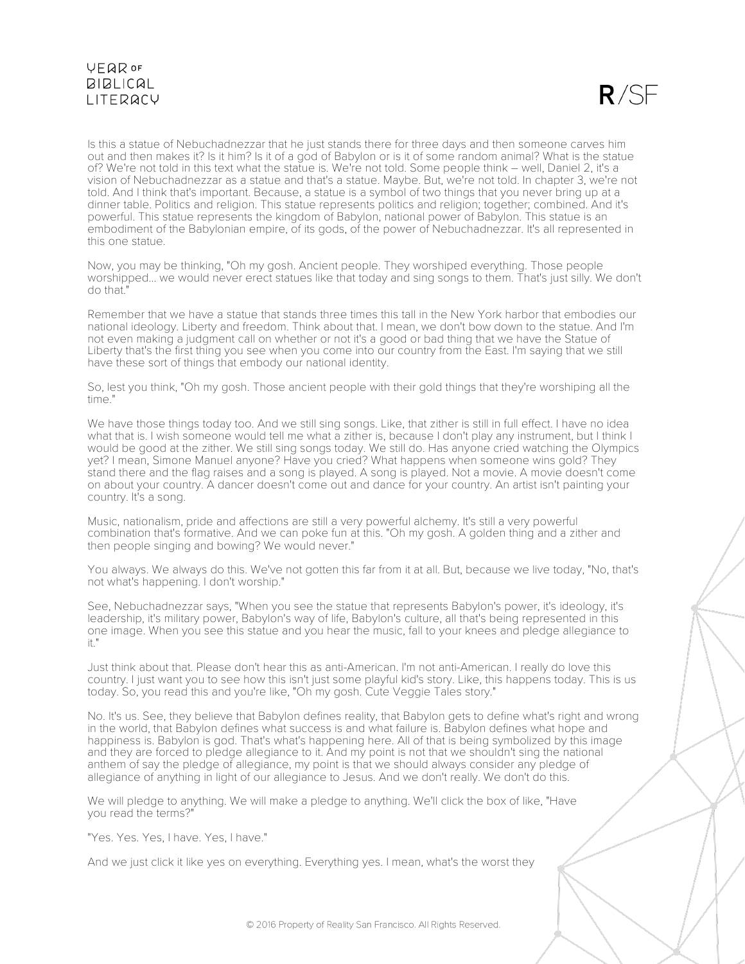$R/SF$ 

Is this a statue of Nebuchadnezzar that he just stands there for three days and then someone carves him out and then makes it? Is it him? Is it of a god of Babylon or is it of some random animal? What is the statue of? We're not told in this text what the statue is. We're not told. Some people think – well, Daniel 2, it's a vision of Nebuchadnezzar as a statue and that's a statue. Maybe. But, we're not told. In chapter 3, we're not told. And I think that's important. Because, a statue is a symbol of two things that you never bring up at a dinner table. Politics and religion. This statue represents politics and religion; together; combined. And it's powerful. This statue represents the kingdom of Babylon, national power of Babylon. This statue is an embodiment of the Babylonian empire, of its gods, of the power of Nebuchadnezzar. It's all represented in this one statue.

Now, you may be thinking, "Oh my gosh. Ancient people. They worshiped everything. Those people worshipped... we would never erect statues like that today and sing songs to them. That's just silly. We don't do that."

Remember that we have a statue that stands three times this tall in the New York harbor that embodies our national ideology. Liberty and freedom. Think about that. I mean, we don't bow down to the statue. And I'm not even making a judgment call on whether or not it's a good or bad thing that we have the Statue of Liberty that's the first thing you see when you come into our country from the East. I'm saying that we still have these sort of things that embody our national identity.

So, lest you think, "Oh my gosh. Those ancient people with their gold things that they're worshiping all the time."

We have those things today too. And we still sing songs. Like, that zither is still in full effect. I have no idea what that is. I wish someone would tell me what a zither is, because I don't play any instrument, but I think I would be good at the zither. We still sing songs today. We still do. Has anyone cried watching the Olympics yet? I mean, Simone Manuel anyone? Have you cried? What happens when someone wins gold? They stand there and the flag raises and a song is played. A song is played. Not a movie. A movie doesn't come on about your country. A dancer doesn't come out and dance for your country. An artist isn't painting your country. It's a song.

Music, nationalism, pride and affections are still a very powerful alchemy. It's still a very powerful combination that's formative. And we can poke fun at this. "Oh my gosh. A golden thing and a zither and then people singing and bowing? We would never."

You always. We always do this. We've not gotten this far from it at all. But, because we live today, "No, that's not what's happening. I don't worship."

See, Nebuchadnezzar says, "When you see the statue that represents Babylon's power, it's ideology, it's leadership, it's military power, Babylon's way of life, Babylon's culture, all that's being represented in this one image. When you see this statue and you hear the music, fall to your knees and pledge allegiance to it."

Just think about that. Please don't hear this as anti-American. I'm not anti-American. I really do love this country. I just want you to see how this isn't just some playful kid's story. Like, this happens today. This is us today. So, you read this and you're like, "Oh my gosh. Cute Veggie Tales story."

No. It's us. See, they believe that Babylon defines reality, that Babylon gets to define what's right and wrong in the world, that Babylon defines what success is and what failure is. Babylon defines what hope and happiness is. Babylon is god. That's what's happening here. All of that is being symbolized by this image and they are forced to pledge allegiance to it. And my point is not that we shouldn't sing the national anthem of say the pledge of allegiance, my point is that we should always consider any pledge of allegiance of anything in light of our allegiance to Jesus. And we don't really. We don't do this.

We will pledge to anything. We will make a pledge to anything. We'll click the box of like, "Have you read the terms?"

"Yes. Yes. Yes, I have. Yes, I have."

And we just click it like yes on everything. Everything yes. I mean, what's the worst they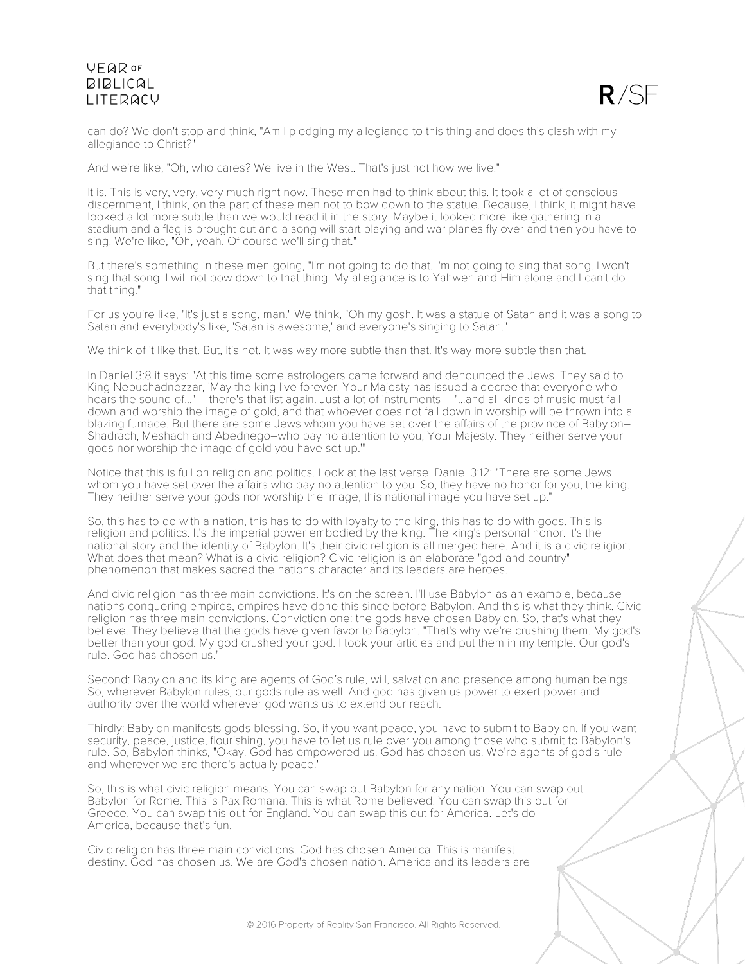

can do? We don't stop and think, "Am I pledging my allegiance to this thing and does this clash with my allegiance to Christ?"

And we're like, "Oh, who cares? We live in the West. That's just not how we live."

It is. This is very, very, very much right now. These men had to think about this. It took a lot of conscious discernment, I think, on the part of these men not to bow down to the statue. Because, I think, it might have looked a lot more subtle than we would read it in the story. Maybe it looked more like gathering in a stadium and a flag is brought out and a song will start playing and war planes fly over and then you have to sing. We're like, "Oh, yeah. Of course we'll sing that."

But there's something in these men going, "I'm not going to do that. I'm not going to sing that song. I won't sing that song. I will not bow down to that thing. My allegiance is to Yahweh and Him alone and I can't do that thing."

For us you're like, "It's just a song, man." We think, "Oh my gosh. It was a statue of Satan and it was a song to Satan and everybody's like, 'Satan is awesome,' and everyone's singing to Satan."

We think of it like that. But, it's not. It was way more subtle than that. It's way more subtle than that.

In Daniel 3:8 it says: "At this time some astrologers came forward and denounced the Jews. They said to King Nebuchadnezzar, 'May the king live forever! Your Majesty has issued a decree that everyone who hears the sound of..." – there's that list again. Just a lot of instruments – "...and all kinds of music must fall down and worship the image of gold, and that whoever does not fall down in worship will be thrown into a blazing furnace. But there are some Jews whom you have set over the affairs of the province of Babylon– Shadrach, Meshach and Abednego–who pay no attention to you, Your Majesty. They neither serve your gods nor worship the image of gold you have set up.'"

Notice that this is full on religion and politics. Look at the last verse. Daniel 3:12: "There are some Jews whom you have set over the affairs who pay no attention to you. So, they have no honor for you, the king. They neither serve your gods nor worship the image, this national image you have set up."

So, this has to do with a nation, this has to do with loyalty to the king, this has to do with gods. This is religion and politics. It's the imperial power embodied by the king. The king's personal honor. It's the national story and the identity of Babylon. It's their civic religion is all merged here. And it is a civic religion. What does that mean? What is a civic religion? Civic religion is an elaborate "god and country" phenomenon that makes sacred the nations character and its leaders are heroes.

And civic religion has three main convictions. It's on the screen. I'll use Babylon as an example, because nations conquering empires, empires have done this since before Babylon. And this is what they think. Civic religion has three main convictions. Conviction one: the gods have chosen Babylon. So, that's what they believe. They believe that the gods have given favor to Babylon. "That's why we're crushing them. My god's better than your god. My god crushed your god. I took your articles and put them in my temple. Our god's rule. God has chosen us."

Second: Babylon and its king are agents of God's rule, will, salvation and presence among human beings. So, wherever Babylon rules, our gods rule as well. And god has given us power to exert power and authority over the world wherever god wants us to extend our reach.

Thirdly: Babylon manifests gods blessing. So, if you want peace, you have to submit to Babylon. If you want security, peace, justice, flourishing, you have to let us rule over you among those who submit to Babylon's rule. So, Babylon thinks, "Okay. God has empowered us. God has chosen us. We're agents of god's rule and wherever we are there's actually peace."

So, this is what civic religion means. You can swap out Babylon for any nation. You can swap out Babylon for Rome. This is Pax Romana. This is what Rome believed. You can swap this out for Greece. You can swap this out for England. You can swap this out for America. Let's do America, because that's fun.

Civic religion has three main convictions. God has chosen America. This is manifest destiny. God has chosen us. We are God's chosen nation. America and its leaders are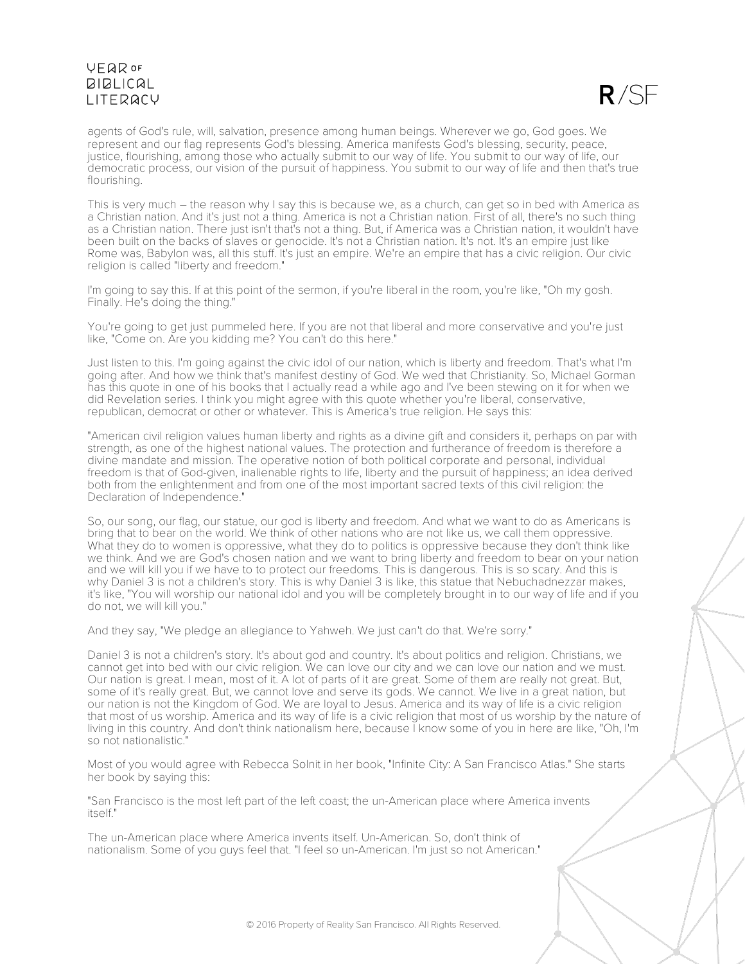

agents of God's rule, will, salvation, presence among human beings. Wherever we go, God goes. We represent and our flag represents God's blessing. America manifests God's blessing, security, peace, justice, flourishing, among those who actually submit to our way of life. You submit to our way of life, our democratic process, our vision of the pursuit of happiness. You submit to our way of life and then that's true flourishing.

This is very much – the reason why I say this is because we, as a church, can get so in bed with America as a Christian nation. And it's just not a thing. America is not a Christian nation. First of all, there's no such thing as a Christian nation. There just isn't that's not a thing. But, if America was a Christian nation, it wouldn't have been built on the backs of slaves or genocide. It's not a Christian nation. It's not. It's an empire just like Rome was, Babylon was, all this stuff. It's just an empire. We're an empire that has a civic religion. Our civic religion is called "liberty and freedom."

I'm going to say this. If at this point of the sermon, if you're liberal in the room, you're like, "Oh my gosh. Finally. He's doing the thing."

You're going to get just pummeled here. If you are not that liberal and more conservative and you're just like, "Come on. Are you kidding me? You can't do this here."

Just listen to this. I'm going against the civic idol of our nation, which is liberty and freedom. That's what I'm going after. And how we think that's manifest destiny of God. We wed that Christianity. So, Michael Gorman has this quote in one of his books that I actually read a while ago and I've been stewing on it for when we did Revelation series. I think you might agree with this quote whether you're liberal, conservative, republican, democrat or other or whatever. This is America's true religion. He says this:

"American civil religion values human liberty and rights as a divine gift and considers it, perhaps on par with strength, as one of the highest national values. The protection and furtherance of freedom is therefore a divine mandate and mission. The operative notion of both political corporate and personal, individual freedom is that of God-given, inalienable rights to life, liberty and the pursuit of happiness; an idea derived both from the enlightenment and from one of the most important sacred texts of this civil religion: the Declaration of Independence."

So, our song, our flag, our statue, our god is liberty and freedom. And what we want to do as Americans is bring that to bear on the world. We think of other nations who are not like us, we call them oppressive. What they do to women is oppressive, what they do to politics is oppressive because they don't think like we think. And we are God's chosen nation and we want to bring liberty and freedom to bear on your nation and we will kill you if we have to to protect our freedoms. This is dangerous. This is so scary. And this is why Daniel 3 is not a children's story. This is why Daniel 3 is like, this statue that Nebuchadnezzar makes, it's like, "You will worship our national idol and you will be completely brought in to our way of life and if you do not, we will kill you."

And they say, "We pledge an allegiance to Yahweh. We just can't do that. We're sorry."

Daniel 3 is not a children's story. It's about god and country. It's about politics and religion. Christians, we cannot get into bed with our civic religion. We can love our city and we can love our nation and we must. Our nation is great. I mean, most of it. A lot of parts of it are great. Some of them are really not great. But, some of it's really great. But, we cannot love and serve its gods. We cannot. We live in a great nation, but our nation is not the Kingdom of God. We are loyal to Jesus. America and its way of life is a civic religion that most of us worship. America and its way of life is a civic religion that most of us worship by the nature of living in this country. And don't think nationalism here, because I know some of you in here are like, "Oh, I'm so not nationalistic."

Most of you would agree with Rebecca Solnit in her book, "Infinite City: A San Francisco Atlas." She starts her book by saying this:

"San Francisco is the most left part of the left coast; the un-American place where America invents itself."

The un-American place where America invents itself. Un-American. So, don't think of nationalism. Some of you guys feel that. "I feel so un-American. I'm just so not American."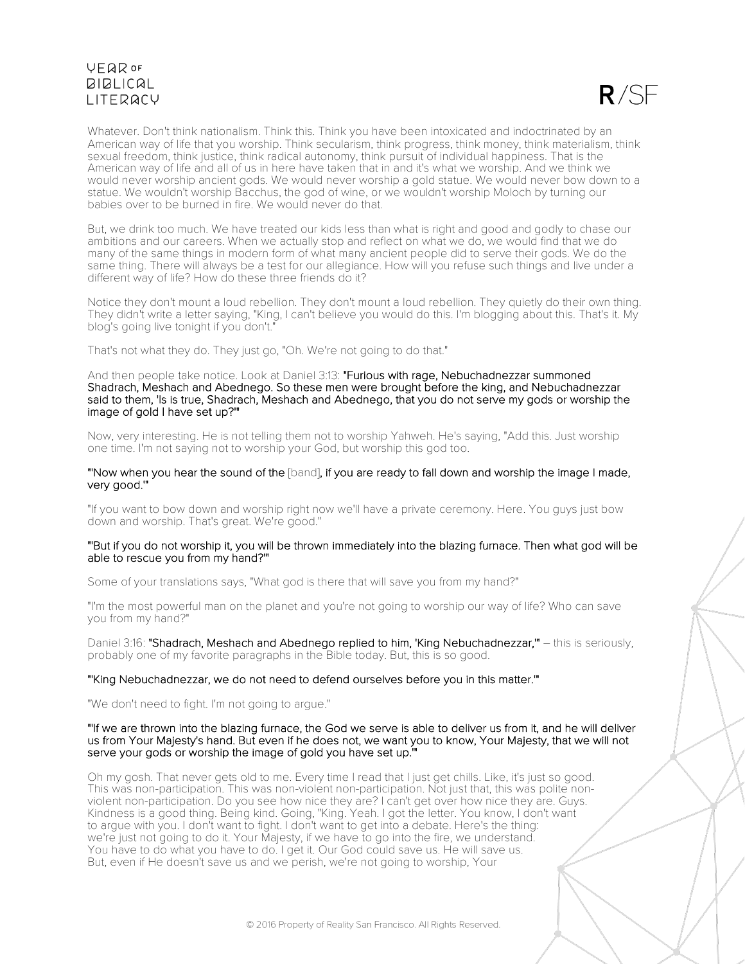

Whatever. Don't think nationalism. Think this. Think you have been intoxicated and indoctrinated by an American way of life that you worship. Think secularism, think progress, think money, think materialism, think sexual freedom, think justice, think radical autonomy, think pursuit of individual happiness. That is the American way of life and all of us in here have taken that in and it's what we worship. And we think we would never worship ancient gods. We would never worship a gold statue. We would never bow down to a statue. We wouldn't worship Bacchus, the god of wine, or we wouldn't worship Moloch by turning our babies over to be burned in fire. We would never do that.

But, we drink too much. We have treated our kids less than what is right and good and godly to chase our ambitions and our careers. When we actually stop and reflect on what we do, we would find that we do many of the same things in modern form of what many ancient people did to serve their gods. We do the same thing. There will always be a test for our allegiance. How will you refuse such things and live under a different way of life? How do these three friends do it?

Notice they don't mount a loud rebellion. They don't mount a loud rebellion. They quietly do their own thing. They didn't write a letter saying, "King, I can't believe you would do this. I'm blogging about this. That's it. My blog's going live tonight if you don't."

That's not what they do. They just go, "Oh. We're not going to do that."

And then people take notice. Look at Daniel 3:13: "Furious with rage, Nebuchadnezzar summoned Shadrach, Meshach and Abednego. So these men were brought before the king, and Nebuchadnezzar said to them, 'Is is true, Shadrach, Meshach and Abednego, that you do not serve my gods or worship the image of gold I have set up?'"

Now, very interesting. He is not telling them not to worship Yahweh. He's saying, "Add this. Just worship one time. I'm not saying not to worship your God, but worship this god too.

### "'Now when you hear the sound of the [band], if you are ready to fall down and worship the image I made, very good.'"

"If you want to bow down and worship right now we'll have a private ceremony. Here. You guys just bow down and worship. That's great. We're good."

### "'But if you do not worship it, you will be thrown immediately into the blazing furnace. Then what god will be able to rescue you from my hand?'"

Some of your translations says, "What god is there that will save you from my hand?"

"I'm the most powerful man on the planet and you're not going to worship our way of life? Who can save you from my hand?"

Daniel 3:16: "Shadrach, Meshach and Abednego replied to him, 'King Nebuchadnezzar,'" – this is seriously, probably one of my favorite paragraphs in the Bible today. But, this is so good.

### "'King Nebuchadnezzar, we do not need to defend ourselves before you in this matter.'"

"We don't need to fight. I'm not going to argue."

### "'If we are thrown into the blazing furnace, the God we serve is able to deliver us from it, and he will deliver us from Your Majesty's hand. But even if he does not, we want you to know, Your Majesty, that we will not serve your gods or worship the image of gold you have set up."

Oh my gosh. That never gets old to me. Every time I read that I just get chills. Like, it's just so good. This was non-participation. This was non-violent non-participation. Not just that, this was polite nonviolent non-participation. Do you see how nice they are? I can't get over how nice they are. Guys. Kindness is a good thing. Being kind. Going, "King. Yeah. I got the letter. You know, I don't want to argue with you. I don't want to fight. I don't want to get into a debate. Here's the thing: we're just not going to do it. Your Majesty, if we have to go into the fire, we understand. You have to do what you have to do. I get it. Our God could save us. He will save us. But, even if He doesn't save us and we perish, we're not going to worship, Your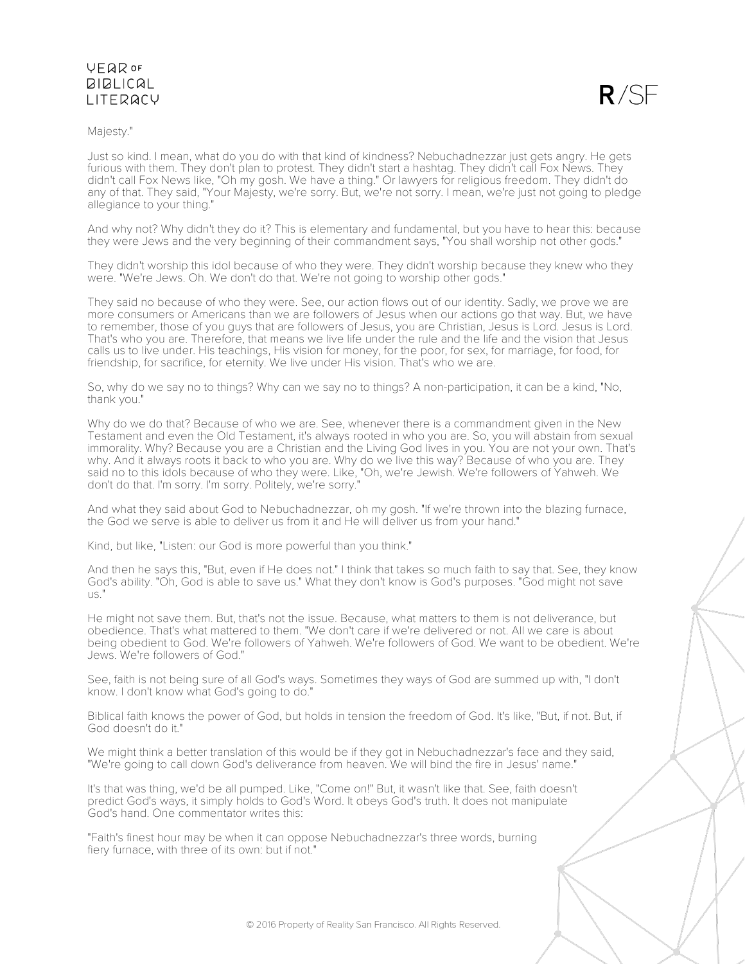### Majesty."



Just so kind. I mean, what do you do with that kind of kindness? Nebuchadnezzar just gets angry. He gets furious with them. They don't plan to protest. They didn't start a hashtag. They didn't call Fox News. They didn't call Fox News like, "Oh my gosh. We have a thing." Or lawyers for religious freedom. They didn't do any of that. They said, "Your Majesty, we're sorry. But, we're not sorry. I mean, we're just not going to pledge allegiance to your thing."

And why not? Why didn't they do it? This is elementary and fundamental, but you have to hear this: because they were Jews and the very beginning of their commandment says, "You shall worship not other gods."

They didn't worship this idol because of who they were. They didn't worship because they knew who they were. "We're Jews. Oh. We don't do that. We're not going to worship other gods."

They said no because of who they were. See, our action flows out of our identity. Sadly, we prove we are more consumers or Americans than we are followers of Jesus when our actions go that way. But, we have to remember, those of you guys that are followers of Jesus, you are Christian, Jesus is Lord. Jesus is Lord. That's who you are. Therefore, that means we live life under the rule and the life and the vision that Jesus calls us to live under. His teachings, His vision for money, for the poor, for sex, for marriage, for food, for friendship, for sacrifice, for eternity. We live under His vision. That's who we are.

So, why do we say no to things? Why can we say no to things? A non-participation, it can be a kind, "No, thank you."

Why do we do that? Because of who we are. See, whenever there is a commandment given in the New Testament and even the Old Testament, it's always rooted in who you are. So, you will abstain from sexual immorality. Why? Because you are a Christian and the Living God lives in you. You are not your own. That's why. And it always roots it back to who you are. Why do we live this way? Because of who you are. They said no to this idols because of who they were. Like, "Oh, we're Jewish. We're followers of Yahweh. We don't do that. I'm sorry. I'm sorry. Politely, we're sorry."

And what they said about God to Nebuchadnezzar, oh my gosh. "If we're thrown into the blazing furnace, the God we serve is able to deliver us from it and He will deliver us from your hand."

Kind, but like, "Listen: our God is more powerful than you think."

And then he says this, "But, even if He does not." I think that takes so much faith to say that. See, they know God's ability. "Oh, God is able to save us." What they don't know is God's purposes. "God might not save us."

He might not save them. But, that's not the issue. Because, what matters to them is not deliverance, but obedience. That's what mattered to them. "We don't care if we're delivered or not. All we care is about being obedient to God. We're followers of Yahweh. We're followers of God. We want to be obedient. We're Jews. We're followers of God."

See, faith is not being sure of all God's ways. Sometimes they ways of God are summed up with, "I don't know. I don't know what God's going to do."

Biblical faith knows the power of God, but holds in tension the freedom of God. It's like, "But, if not. But, if God doesn't do it."

We might think a better translation of this would be if they got in Nebuchadnezzar's face and they said, "We're going to call down God's deliverance from heaven. We will bind the fire in Jesus' name."

It's that was thing, we'd be all pumped. Like, "Come on!" But, it wasn't like that. See, faith doesn't predict God's ways, it simply holds to God's Word. It obeys God's truth. It does not manipulate God's hand. One commentator writes this:

"Faith's finest hour may be when it can oppose Nebuchadnezzar's three words, burning fiery furnace, with three of its own: but if not."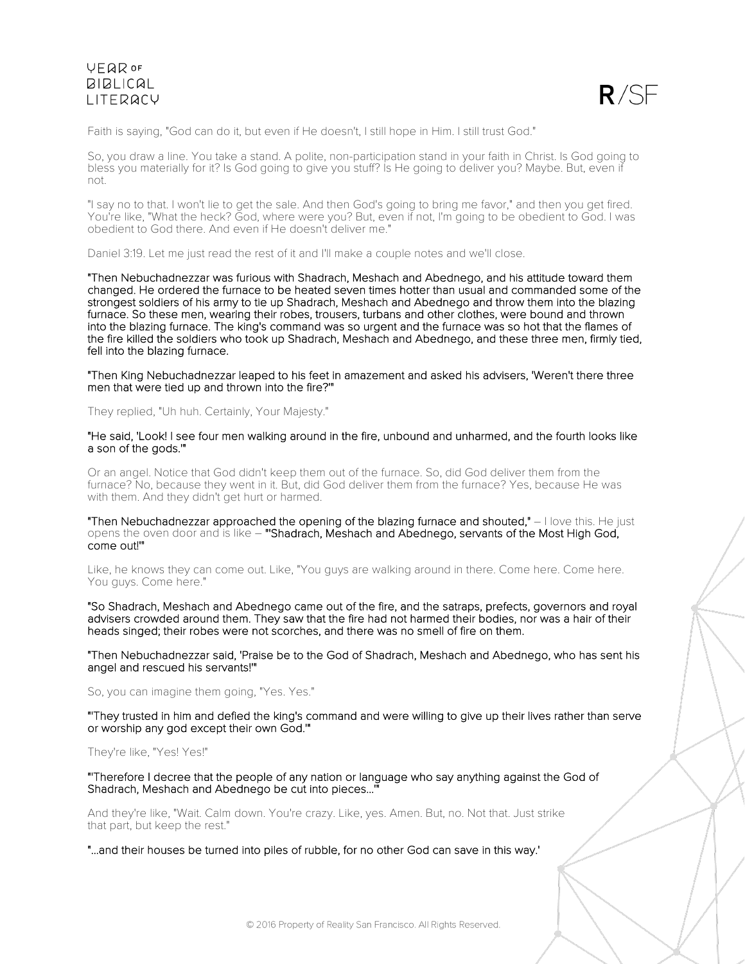

Faith is saying, "God can do it, but even if He doesn't, I still hope in Him. I still trust God."

So, you draw a line. You take a stand. A polite, non-participation stand in your faith in Christ. Is God going to bless you materially for it? Is God going to give you stuff? Is He going to deliver you? Maybe. But, even if not.

"I say no to that. I won't lie to get the sale. And then God's going to bring me favor," and then you get fired. You're like, "What the heck? God, where were you? But, even if not, I'm going to be obedient to God. I was obedient to God there. And even if He doesn't deliver me."

Daniel 3:19. Let me just read the rest of it and I'll make a couple notes and we'll close.

"Then Nebuchadnezzar was furious with Shadrach, Meshach and Abednego, and his attitude toward them changed. He ordered the furnace to be heated seven times hotter than usual and commanded some of the strongest soldiers of his army to tie up Shadrach, Meshach and Abednego and throw them into the blazing furnace. So these men, wearing their robes, trousers, turbans and other clothes, were bound and thrown into the blazing furnace. The king's command was so urgent and the furnace was so hot that the flames of the fire killed the soldiers who took up Shadrach, Meshach and Abednego, and these three men, firmly tied, fell into the blazing furnace.

"Then King Nebuchadnezzar leaped to his feet in amazement and asked his advisers, 'Weren't there three men that were tied up and thrown into the fire?'"

They replied, "Uh huh. Certainly, Your Majesty."

"He said, 'Look! I see four men walking around in the fire, unbound and unharmed, and the fourth looks like a son of the gods.'"

Or an angel. Notice that God didn't keep them out of the furnace. So, did God deliver them from the furnace? No, because they went in it. But, did God deliver them from the furnace? Yes, because He was with them. And they didn't get hurt or harmed.

"Then Nebuchadnezzar approached the opening of the blazing furnace and shouted,"  $-$  I love this. He just opens the oven door and is like – "Shadrach, Meshach and Abednego, servants of the Most High God, come out!'"

Like, he knows they can come out. Like, "You guys are walking around in there. Come here. Come here. You guys. Come here."

"So Shadrach, Meshach and Abednego came out of the fire, and the satraps, prefects, governors and royal advisers crowded around them. They saw that the fire had not harmed their bodies, nor was a hair of their heads singed; their robes were not scorches, and there was no smell of fire on them.

"Then Nebuchadnezzar said, 'Praise be to the God of Shadrach, Meshach and Abednego, who has sent his angel and rescued his servants!'"

So, you can imagine them going, "Yes. Yes."

"'They trusted in him and defied the king's command and were willing to give up their lives rather than serve or worship any god except their own God.'"

They're like, "Yes! Yes!"

"'Therefore I decree that the people of any nation or language who say anything against the God of Shadrach, Meshach and Abednego be cut into pieces...

And they're like, "Wait. Calm down. You're crazy. Like, yes. Amen. But, no. Not that. Just strike that part, but keep the rest."

"...and their houses be turned into piles of rubble, for no other God can save in this way.'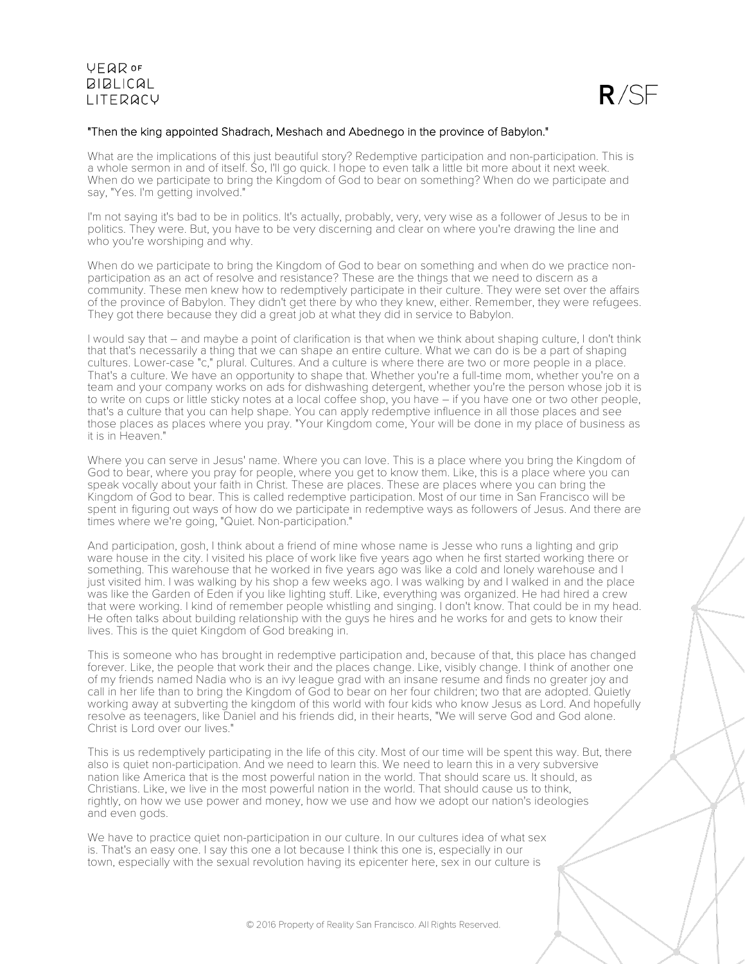

### "Then the king appointed Shadrach, Meshach and Abednego in the province of Babylon."

What are the implications of this just beautiful story? Redemptive participation and non-participation. This is a whole sermon in and of itself. So, I'll go quick. I hope to even talk a little bit more about it next week. When do we participate to bring the Kingdom of God to bear on something? When do we participate and say, "Yes. I'm getting involved."

I'm not saying it's bad to be in politics. It's actually, probably, very, very wise as a follower of Jesus to be in politics. They were. But, you have to be very discerning and clear on where you're drawing the line and who you're worshiping and why.

When do we participate to bring the Kingdom of God to bear on something and when do we practice nonparticipation as an act of resolve and resistance? These are the things that we need to discern as a community. These men knew how to redemptively participate in their culture. They were set over the affairs of the province of Babylon. They didn't get there by who they knew, either. Remember, they were refugees. They got there because they did a great job at what they did in service to Babylon.

I would say that – and maybe a point of clarification is that when we think about shaping culture, I don't think that that's necessarily a thing that we can shape an entire culture. What we can do is be a part of shaping cultures. Lower-case "c," plural. Cultures. And a culture is where there are two or more people in a place. That's a culture. We have an opportunity to shape that. Whether you're a full-time mom, whether you're on a team and your company works on ads for dishwashing detergent, whether you're the person whose job it is to write on cups or little sticky notes at a local coffee shop, you have – if you have one or two other people, that's a culture that you can help shape. You can apply redemptive influence in all those places and see those places as places where you pray. "Your Kingdom come, Your will be done in my place of business as it is in Heaven."

Where you can serve in Jesus' name. Where you can love. This is a place where you bring the Kingdom of God to bear, where you pray for people, where you get to know them. Like, this is a place where you can speak vocally about your faith in Christ. These are places. These are places where you can bring the Kingdom of God to bear. This is called redemptive participation. Most of our time in San Francisco will be spent in figuring out ways of how do we participate in redemptive ways as followers of Jesus. And there are times where we're going, "Quiet. Non-participation."

And participation, gosh, I think about a friend of mine whose name is Jesse who runs a lighting and grip ware house in the city. I visited his place of work like five years ago when he first started working there or something. This warehouse that he worked in five years ago was like a cold and lonely warehouse and I just visited him. I was walking by his shop a few weeks ago. I was walking by and I walked in and the place was like the Garden of Eden if you like lighting stuff. Like, everything was organized. He had hired a crew that were working. I kind of remember people whistling and singing. I don't know. That could be in my head. He often talks about building relationship with the guys he hires and he works for and gets to know their lives. This is the quiet Kingdom of God breaking in.

This is someone who has brought in redemptive participation and, because of that, this place has changed forever. Like, the people that work their and the places change. Like, visibly change. I think of another one of my friends named Nadia who is an ivy league grad with an insane resume and finds no greater joy and call in her life than to bring the Kingdom of God to bear on her four children; two that are adopted. Quietly working away at subverting the kingdom of this world with four kids who know Jesus as Lord. And hopefully resolve as teenagers, like Daniel and his friends did, in their hearts, "We will serve God and God alone. Christ is Lord over our lives."

This is us redemptively participating in the life of this city. Most of our time will be spent this way. But, there also is quiet non-participation. And we need to learn this. We need to learn this in a very subversive nation like America that is the most powerful nation in the world. That should scare us. It should, as Christians. Like, we live in the most powerful nation in the world. That should cause us to think, rightly, on how we use power and money, how we use and how we adopt our nation's ideologies and even gods.

We have to practice quiet non-participation in our culture. In our cultures idea of what sex is. That's an easy one. I say this one a lot because I think this one is, especially in our town, especially with the sexual revolution having its epicenter here, sex in our culture is